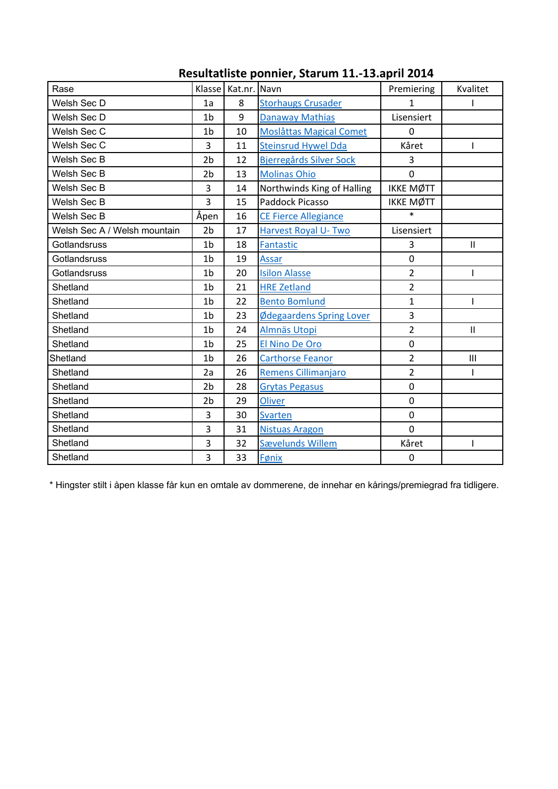|                |    |                                | Premiering            | Kvalitet       |  |
|----------------|----|--------------------------------|-----------------------|----------------|--|
| 1a             | 8  | <b>Storhaugs Crusader</b>      | 1                     |                |  |
| 1 <sub>b</sub> | 9  | <b>Danaway Mathias</b>         | Lisensiert            |                |  |
| 1 <sub>b</sub> | 10 | <b>Moslåttas Magical Comet</b> | $\Omega$              |                |  |
| 3              | 11 | <b>Steinsrud Hywel Dda</b>     | Kåret                 |                |  |
| 2 <sub>b</sub> | 12 | Bjerregårds Silver Sock        | 3                     |                |  |
| 2 <sub>b</sub> | 13 | <b>Molinas Ohio</b>            | $\mathbf 0$           |                |  |
| 3              | 14 | Northwinds King of Halling     | <b>IKKE MØTT</b>      |                |  |
| 3              | 15 | Paddock Picasso                | <b>IKKE MØTT</b>      |                |  |
| Åpen           | 16 | <b>CE Fierce Allegiance</b>    | $\ast$                |                |  |
| 2 <sub>b</sub> | 17 | <b>Harvest Royal U-Two</b>     | Lisensiert            |                |  |
| 1b             | 18 | Fantastic                      | 3                     | $\mathbf{II}$  |  |
| 1 <sub>b</sub> | 19 | Assar                          | $\overline{0}$        |                |  |
| 1 <sub>b</sub> | 20 | <b>Isilon Alasse</b>           | $\overline{2}$        |                |  |
| 1 <sub>b</sub> | 21 | <b>HRE Zetland</b>             | $\overline{2}$        |                |  |
| 1 <sub>b</sub> | 22 | <b>Bento Bomlund</b>           | $\mathbf{1}$          |                |  |
| 1 <sub>b</sub> | 23 | Ødegaardens Spring Lover       | 3                     |                |  |
| 1 <sub>b</sub> | 24 | Almnäs Utopi                   | $\overline{2}$        | $\mathbf{II}$  |  |
| 1b             | 25 | El Nino De Oro                 | $\mathbf 0$           |                |  |
| 1 <sub>b</sub> | 26 | <b>Carthorse Feanor</b>        | $\overline{2}$        | $\mathbf{III}$ |  |
| 2a             | 26 | <b>Remens Cillimanjaro</b>     | $\overline{2}$        |                |  |
| 2 <sub>b</sub> | 28 | <b>Grytas Pegasus</b>          | $\overline{0}$        |                |  |
| 2b             | 29 | <b>Oliver</b>                  | $\mathbf 0$           |                |  |
| 3              | 30 | <b>Svarten</b>                 | $\overline{0}$        |                |  |
| 3              | 31 | <b>Nistuas Aragon</b>          | $\mathbf 0$           |                |  |
| 3              | 32 | Sævelunds Willem               | Kåret                 |                |  |
| 3              | 33 | Fønix                          | $\mathbf 0$           |                |  |
|                |    |                                | Klasse   Kat.nr. Navn |                |  |

## **Resultatliste ponnier, Starum 11.-13.april 2014**

\* Hingster stilt i åpen klasse får kun en omtale av dommerene, de innehar en kårings/premiegrad fra tidligere.